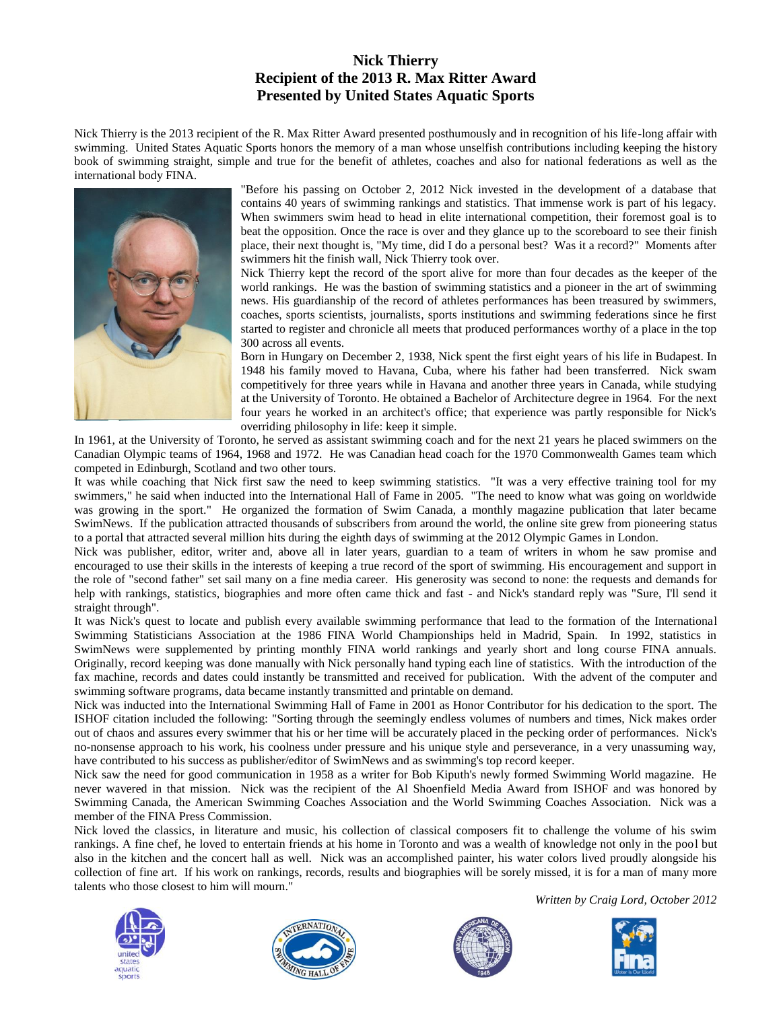## **Nick Thierry Recipient of the 2013 R. Max Ritter Award Presented by United States Aquatic Sports**

Nick Thierry is the 2013 recipient of the R. Max Ritter Award presented posthumously and in recognition of his life-long affair with swimming. United States Aquatic Sports honors the memory of a man whose unselfish contributions including keeping the history book of swimming straight, simple and true for the benefit of athletes, coaches and also for national federations as well as the international body FINA.



"Before his passing on October 2, 2012 Nick invested in the development of a database that contains 40 years of swimming rankings and statistics. That immense work is part of his legacy. When swimmers swim head to head in elite international competition, their foremost goal is to beat the opposition. Once the race is over and they glance up to the scoreboard to see their finish place, their next thought is, "My time, did I do a personal best? Was it a record?" Moments after swimmers hit the finish wall, Nick Thierry took over.

Nick Thierry kept the record of the sport alive for more than four decades as the keeper of the world rankings. He was the bastion of swimming statistics and a pioneer in the art of swimming news. His guardianship of the record of athletes performances has been treasured by swimmers, coaches, sports scientists, journalists, sports institutions and swimming federations since he first started to register and chronicle all meets that produced performances worthy of a place in the top 300 across all events.

Born in Hungary on December 2, 1938, Nick spent the first eight years of his life in Budapest. In 1948 his family moved to Havana, Cuba, where his father had been transferred. Nick swam competitively for three years while in Havana and another three years in Canada, while studying at the University of Toronto. He obtained a Bachelor of Architecture degree in 1964. For the next four years he worked in an architect's office; that experience was partly responsible for Nick's overriding philosophy in life: keep it simple.

In 1961, at the University of Toronto, he served as assistant swimming coach and for the next 21 years he placed swimmers on the Canadian Olympic teams of 1964, 1968 and 1972. He was Canadian head coach for the 1970 Commonwealth Games team which competed in Edinburgh, Scotland and two other tours.

It was while coaching that Nick first saw the need to keep swimming statistics. "It was a very effective training tool for my swimmers," he said when inducted into the International Hall of Fame in 2005. "The need to know what was going on worldwide was growing in the sport." He organized the formation of Swim Canada, a monthly magazine publication that later became SwimNews. If the publication attracted thousands of subscribers from around the world, the online site grew from pioneering status to a portal that attracted several million hits during the eighth days of swimming at the 2012 Olympic Games in London.

Nick was publisher, editor, writer and, above all in later years, guardian to a team of writers in whom he saw promise and encouraged to use their skills in the interests of keeping a true record of the sport of swimming. His encouragement and support in the role of "second father" set sail many on a fine media career. His generosity was second to none: the requests and demands for help with rankings, statistics, biographies and more often came thick and fast - and Nick's standard reply was "Sure, I'll send it straight through".

It was Nick's quest to locate and publish every available swimming performance that lead to the formation of the International Swimming Statisticians Association at the 1986 FINA World Championships held in Madrid, Spain. In 1992, statistics in SwimNews were supplemented by printing monthly FINA world rankings and yearly short and long course FINA annuals. Originally, record keeping was done manually with Nick personally hand typing each line of statistics. With the introduction of the fax machine, records and dates could instantly be transmitted and received for publication. With the advent of the computer and swimming software programs, data became instantly transmitted and printable on demand.

Nick was inducted into the International Swimming Hall of Fame in 2001 as Honor Contributor for his dedication to the sport. The ISHOF citation included the following: "Sorting through the seemingly endless volumes of numbers and times, Nick makes order out of chaos and assures every swimmer that his or her time will be accurately placed in the pecking order of performances. Nick's no-nonsense approach to his work, his coolness under pressure and his unique style and perseverance, in a very unassuming way, have contributed to his success as publisher/editor of SwimNews and as swimming's top record keeper.

Nick saw the need for good communication in 1958 as a writer for Bob Kiputh's newly formed Swimming World magazine. He never wavered in that mission. Nick was the recipient of the Al Shoenfield Media Award from ISHOF and was honored by Swimming Canada, the American Swimming Coaches Association and the World Swimming Coaches Association. Nick was a member of the FINA Press Commission.

Nick loved the classics, in literature and music, his collection of classical composers fit to challenge the volume of his swim rankings. A fine chef, he loved to entertain friends at his home in Toronto and was a wealth of knowledge not only in the pool but also in the kitchen and the concert hall as well. Nick was an accomplished painter, his water colors lived proudly alongside his collection of fine art. If his work on rankings, records, results and biographies will be sorely missed, it is for a man of many more talents who those closest to him will mourn."









*Written by Craig Lord, October 2012*